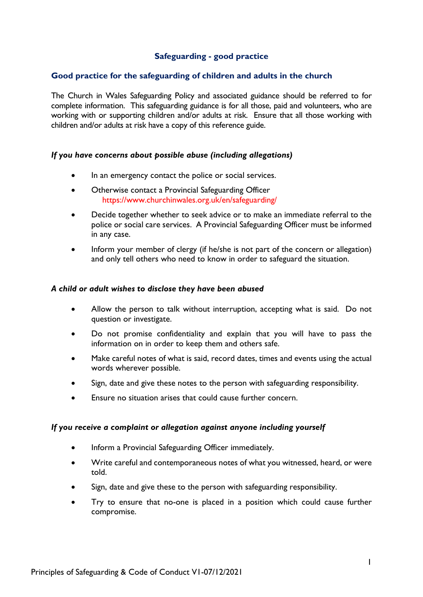# **Safeguarding - good practice**

### **Good practice for the safeguarding of children and adults in the church**

The Church in Wales Safeguarding Policy and associated guidance should be referred to for complete information. This safeguarding guidance is for all those, paid and volunteers, who are working with or supporting children and/or adults at risk. Ensure that all those working with children and/or adults at risk have a copy of this reference guide.

#### *If you have concerns about possible abuse (including allegations)*

- In an emergency contact the police or social services.
- Otherwise contact a Provincial Safeguarding Officer https://www.churchinwales.org.uk/en/safeguarding/
- Decide together whether to seek advice or to make an immediate referral to the police or social care services. A Provincial Safeguarding Officer must be informed in any case.
- Inform your member of clergy (if he/she is not part of the concern or allegation) and only tell others who need to know in order to safeguard the situation.

#### *A child or adult wishes to disclose they have been abused*

- Allow the person to talk without interruption, accepting what is said. Do not question or investigate.
- Do not promise confidentiality and explain that you will have to pass the information on in order to keep them and others safe.
- Make careful notes of what is said, record dates, times and events using the actual words wherever possible.
- Sign, date and give these notes to the person with safeguarding responsibility.
- Ensure no situation arises that could cause further concern.

#### *If you receive a complaint or allegation against anyone including yourself*

- Inform a Provincial Safeguarding Officer immediately.
- Write careful and contemporaneous notes of what you witnessed, heard, or were told.
- Sign, date and give these to the person with safeguarding responsibility.
- Try to ensure that no-one is placed in a position which could cause further compromise.